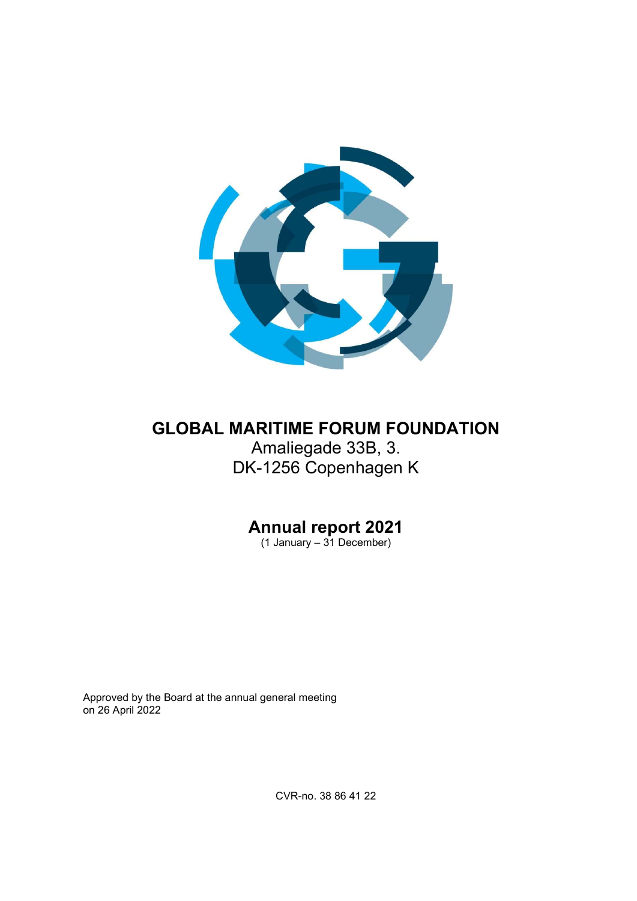

# GLOBAL MARITIME FORUM FOUNDATION Amaliegade 33B, 3. DK-1256 Copenhagen K

# Annual report 2021

(1 January – 31 December)

Approved by the Board at the annual general meeting on 26 April 2022

CVR-no. 38 86 41 22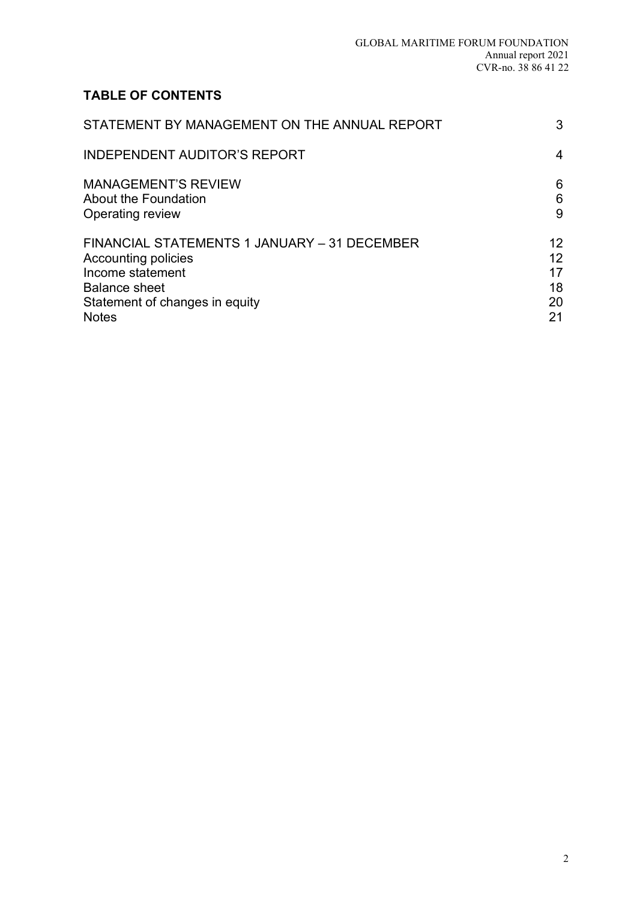## TABLE OF CONTENTS

| STATEMENT BY MANAGEMENT ON THE ANNUAL REPORT | 3               |
|----------------------------------------------|-----------------|
| <b>INDEPENDENT AUDITOR'S REPORT</b>          | 4               |
| <b>MANAGEMENT'S REVIEW</b>                   | 6               |
| <b>About the Foundation</b>                  | 6               |
| Operating review                             | 9               |
| FINANCIAL STATEMENTS 1 JANUARY - 31 DECEMBER | 12 <sup>2</sup> |
| <b>Accounting policies</b>                   | 12              |
| Income statement                             | 17              |
| <b>Balance sheet</b>                         | 18              |
| Statement of changes in equity               | 20              |
| <b>Notes</b>                                 | 21              |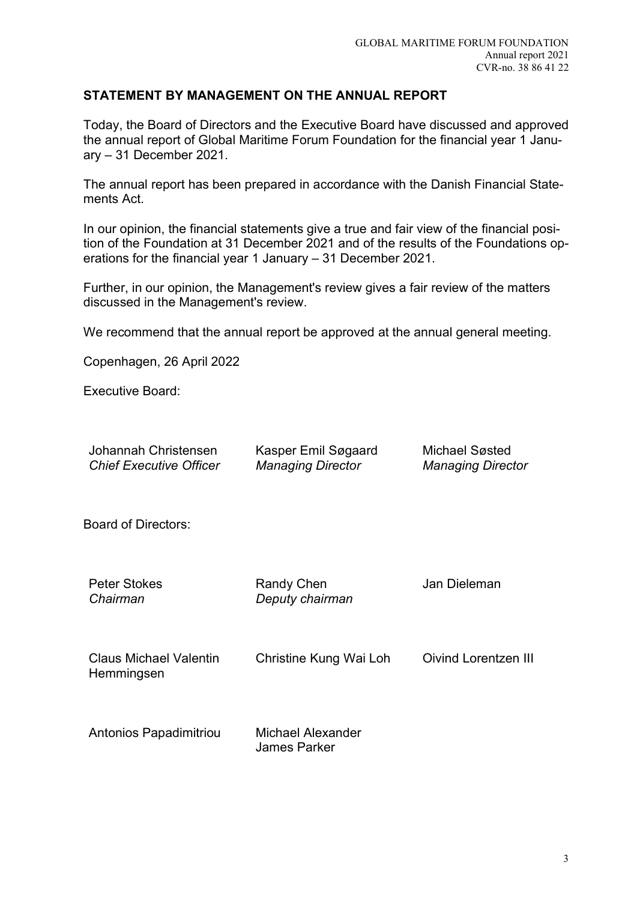## STATEMENT BY MANAGEMENT ON THE ANNUAL REPORT

Today, the Board of Directors and the Executive Board have discussed and approved the annual report of Global Maritime Forum Foundation for the financial year 1 January – 31 December 2021.

The annual report has been prepared in accordance with the Danish Financial Statements Act.

In our opinion, the financial statements give a true and fair view of the financial position of the Foundation at 31 December 2021 and of the results of the Foundations operations for the financial year 1 January – 31 December 2021.

Further, in our opinion, the Management's review gives a fair review of the matters discussed in the Management's review.

We recommend that the annual report be approved at the annual general meeting.

Copenhagen, 26 April 2022

Executive Board:

| Johannah Christensen<br><b>Chief Executive Officer</b> | Kasper Emil Søgaard<br><b>Managing Director</b> | <b>Michael Søsted</b><br><b>Managing Director</b> |
|--------------------------------------------------------|-------------------------------------------------|---------------------------------------------------|
| <b>Board of Directors:</b>                             |                                                 |                                                   |
| <b>Peter Stokes</b><br>Chairman                        | <b>Randy Chen</b><br>Deputy chairman            | Jan Dieleman                                      |
| <b>Claus Michael Valentin</b><br>Hemmingsen            | Christine Kung Wai Loh                          | <b>Oivind Lorentzen III</b>                       |
| Antonios Papadimitriou                                 | Michael Alexander<br><b>James Parker</b>        |                                                   |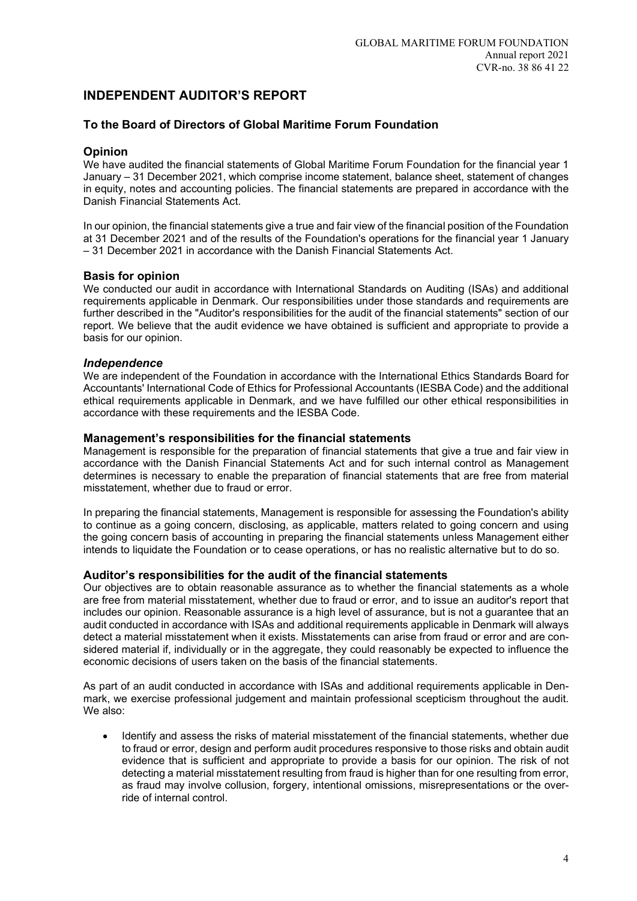## INDEPENDENT AUDITOR'S REPORT

#### To the Board of Directors of Global Maritime Forum Foundation

#### Opinion

We have audited the financial statements of Global Maritime Forum Foundation for the financial year 1 January – 31 December 2021, which comprise income statement, balance sheet, statement of changes in equity, notes and accounting policies. The financial statements are prepared in accordance with the Danish Financial Statements Act.

In our opinion, the financial statements give a true and fair view of the financial position of the Foundation at 31 December 2021 and of the results of the Foundation's operations for the financial year 1 January – 31 December 2021 in accordance with the Danish Financial Statements Act.

#### Basis for opinion

We conducted our audit in accordance with International Standards on Auditing (ISAs) and additional requirements applicable in Denmark. Our responsibilities under those standards and requirements are further described in the "Auditor's responsibilities for the audit of the financial statements" section of our report. We believe that the audit evidence we have obtained is sufficient and appropriate to provide a basis for our opinion.

#### Independence

We are independent of the Foundation in accordance with the International Ethics Standards Board for Accountants' International Code of Ethics for Professional Accountants (IESBA Code) and the additional ethical requirements applicable in Denmark, and we have fulfilled our other ethical responsibilities in accordance with these requirements and the IESBA Code.

#### Management's responsibilities for the financial statements

Management is responsible for the preparation of financial statements that give a true and fair view in accordance with the Danish Financial Statements Act and for such internal control as Management determines is necessary to enable the preparation of financial statements that are free from material misstatement, whether due to fraud or error.

In preparing the financial statements, Management is responsible for assessing the Foundation's ability to continue as a going concern, disclosing, as applicable, matters related to going concern and using the going concern basis of accounting in preparing the financial statements unless Management either intends to liquidate the Foundation or to cease operations, or has no realistic alternative but to do so.

#### Auditor's responsibilities for the audit of the financial statements

Our objectives are to obtain reasonable assurance as to whether the financial statements as a whole are free from material misstatement, whether due to fraud or error, and to issue an auditor's report that includes our opinion. Reasonable assurance is a high level of assurance, but is not a guarantee that an audit conducted in accordance with ISAs and additional requirements applicable in Denmark will always detect a material misstatement when it exists. Misstatements can arise from fraud or error and are considered material if, individually or in the aggregate, they could reasonably be expected to influence the economic decisions of users taken on the basis of the financial statements.

As part of an audit conducted in accordance with ISAs and additional requirements applicable in Denmark, we exercise professional judgement and maintain professional scepticism throughout the audit. We also:

 Identify and assess the risks of material misstatement of the financial statements, whether due to fraud or error, design and perform audit procedures responsive to those risks and obtain audit evidence that is sufficient and appropriate to provide a basis for our opinion. The risk of not detecting a material misstatement resulting from fraud is higher than for one resulting from error, as fraud may involve collusion, forgery, intentional omissions, misrepresentations or the override of internal control.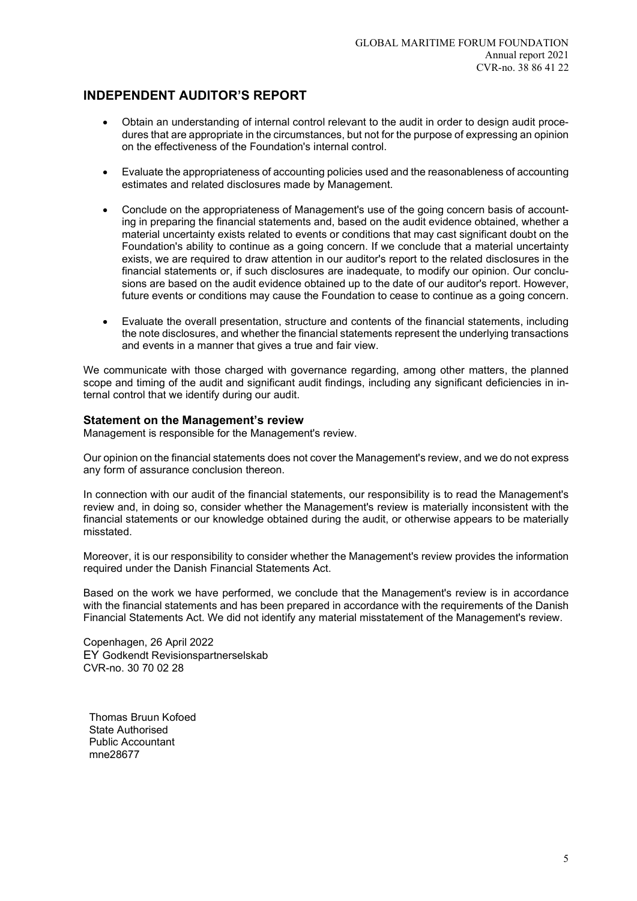## INDEPENDENT AUDITOR'S REPORT

- Obtain an understanding of internal control relevant to the audit in order to design audit procedures that are appropriate in the circumstances, but not for the purpose of expressing an opinion on the effectiveness of the Foundation's internal control.
- Evaluate the appropriateness of accounting policies used and the reasonableness of accounting estimates and related disclosures made by Management.
- Conclude on the appropriateness of Management's use of the going concern basis of accounting in preparing the financial statements and, based on the audit evidence obtained, whether a material uncertainty exists related to events or conditions that may cast significant doubt on the Foundation's ability to continue as a going concern. If we conclude that a material uncertainty exists, we are required to draw attention in our auditor's report to the related disclosures in the financial statements or, if such disclosures are inadequate, to modify our opinion. Our conclusions are based on the audit evidence obtained up to the date of our auditor's report. However, future events or conditions may cause the Foundation to cease to continue as a going concern.
- Evaluate the overall presentation, structure and contents of the financial statements, including the note disclosures, and whether the financial statements represent the underlying transactions and events in a manner that gives a true and fair view.

We communicate with those charged with governance regarding, among other matters, the planned scope and timing of the audit and significant audit findings, including any significant deficiencies in internal control that we identify during our audit.

#### Statement on the Management's review

Management is responsible for the Management's review.

Our opinion on the financial statements does not cover the Management's review, and we do not express any form of assurance conclusion thereon.

In connection with our audit of the financial statements, our responsibility is to read the Management's review and, in doing so, consider whether the Management's review is materially inconsistent with the financial statements or our knowledge obtained during the audit, or otherwise appears to be materially misstated.

Moreover, it is our responsibility to consider whether the Management's review provides the information required under the Danish Financial Statements Act.

Based on the work we have performed, we conclude that the Management's review is in accordance with the financial statements and has been prepared in accordance with the requirements of the Danish Financial Statements Act. We did not identify any material misstatement of the Management's review.

Copenhagen, 26 April 2022 EY Godkendt Revisionspartnerselskab CVR-no. 30 70 02 28

Thomas Bruun Kofoed State Authorised Public Accountant mne28677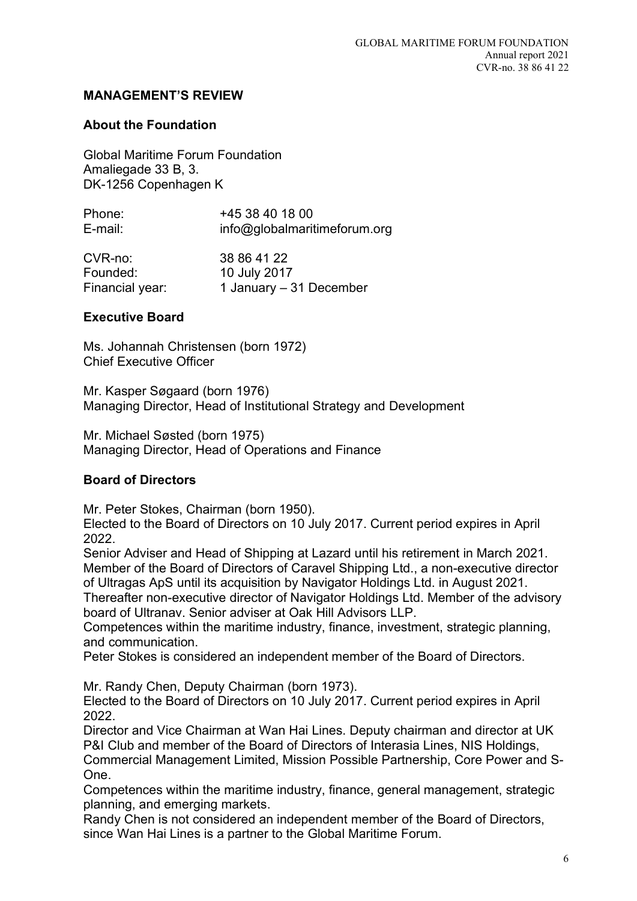## About the Foundation

Global Maritime Forum Foundation Amaliegade 33 B, 3. DK-1256 Copenhagen K

| Phone:  | +45 38 40 18 00              |
|---------|------------------------------|
| E-mail: | info@globalmaritimeforum.org |
|         |                              |

| CVR-no:         | 38 86 41 22             |
|-----------------|-------------------------|
| Founded:        | 10 July 2017            |
| Financial year: | 1 January – 31 December |

## Executive Board

Ms. Johannah Christensen (born 1972) Chief Executive Officer

Mr. Kasper Søgaard (born 1976) Managing Director, Head of Institutional Strategy and Development

Mr. Michael Søsted (born 1975) Managing Director, Head of Operations and Finance

## Board of Directors

Mr. Peter Stokes, Chairman (born 1950).

Elected to the Board of Directors on 10 July 2017. Current period expires in April 2022.

Senior Adviser and Head of Shipping at Lazard until his retirement in March 2021. Member of the Board of Directors of Caravel Shipping Ltd., a non-executive director of Ultragas ApS until its acquisition by Navigator Holdings Ltd. in August 2021.

Thereafter non-executive director of Navigator Holdings Ltd. Member of the advisory board of Ultranav. Senior adviser at Oak Hill Advisors LLP.

Competences within the maritime industry, finance, investment, strategic planning, and communication.

Peter Stokes is considered an independent member of the Board of Directors.

Mr. Randy Chen, Deputy Chairman (born 1973).

Elected to the Board of Directors on 10 July 2017. Current period expires in April 2022.

Director and Vice Chairman at Wan Hai Lines. Deputy chairman and director at UK P&I Club and member of the Board of Directors of Interasia Lines, NIS Holdings, Commercial Management Limited, Mission Possible Partnership, Core Power and S-One.

Competences within the maritime industry, finance, general management, strategic planning, and emerging markets.

Randy Chen is not considered an independent member of the Board of Directors, since Wan Hai Lines is a partner to the Global Maritime Forum.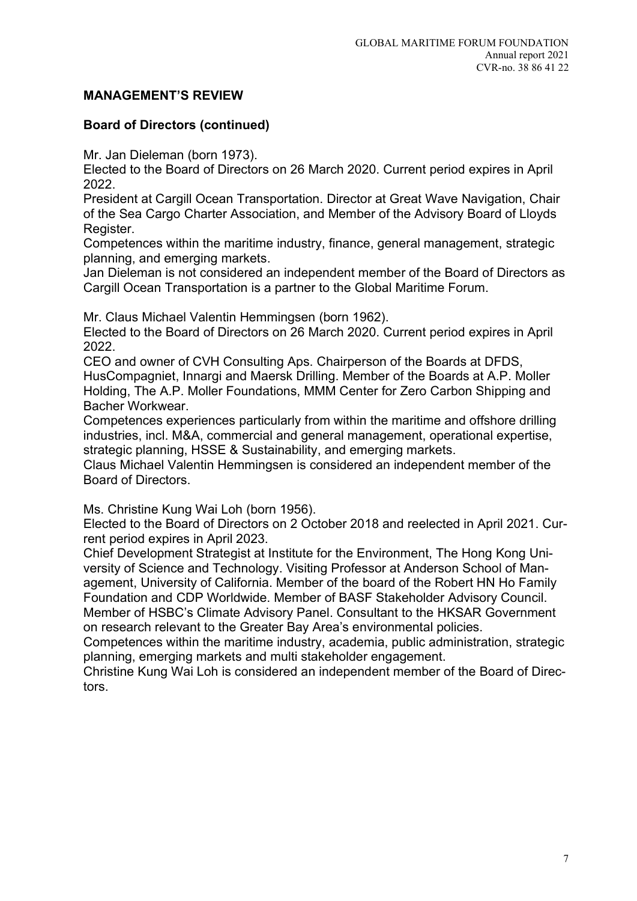## Board of Directors (continued)

Mr. Jan Dieleman (born 1973).

Elected to the Board of Directors on 26 March 2020. Current period expires in April 2022.

President at Cargill Ocean Transportation. Director at Great Wave Navigation, Chair of the Sea Cargo Charter Association, and Member of the Advisory Board of Lloyds Register.

Competences within the maritime industry, finance, general management, strategic planning, and emerging markets.

Jan Dieleman is not considered an independent member of the Board of Directors as Cargill Ocean Transportation is a partner to the Global Maritime Forum.

Mr. Claus Michael Valentin Hemmingsen (born 1962).

Elected to the Board of Directors on 26 March 2020. Current period expires in April 2022.

CEO and owner of CVH Consulting Aps. Chairperson of the Boards at DFDS, HusCompagniet, Innargi and Maersk Drilling. Member of the Boards at A.P. Moller Holding, The A.P. Moller Foundations, MMM Center for Zero Carbon Shipping and Bacher Workwear.

Competences experiences particularly from within the maritime and offshore drilling industries, incl. M&A, commercial and general management, operational expertise, strategic planning, HSSE & Sustainability, and emerging markets.

Claus Michael Valentin Hemmingsen is considered an independent member of the Board of Directors.

Ms. Christine Kung Wai Loh (born 1956).

Elected to the Board of Directors on 2 October 2018 and reelected in April 2021. Current period expires in April 2023.

Chief Development Strategist at Institute for the Environment, The Hong Kong University of Science and Technology. Visiting Professor at Anderson School of Management, University of California. Member of the board of the Robert HN Ho Family Foundation and CDP Worldwide. Member of BASF Stakeholder Advisory Council. Member of HSBC's Climate Advisory Panel. Consultant to the HKSAR Government on research relevant to the Greater Bay Area's environmental policies.

Competences within the maritime industry, academia, public administration, strategic planning, emerging markets and multi stakeholder engagement.

Christine Kung Wai Loh is considered an independent member of the Board of Directors.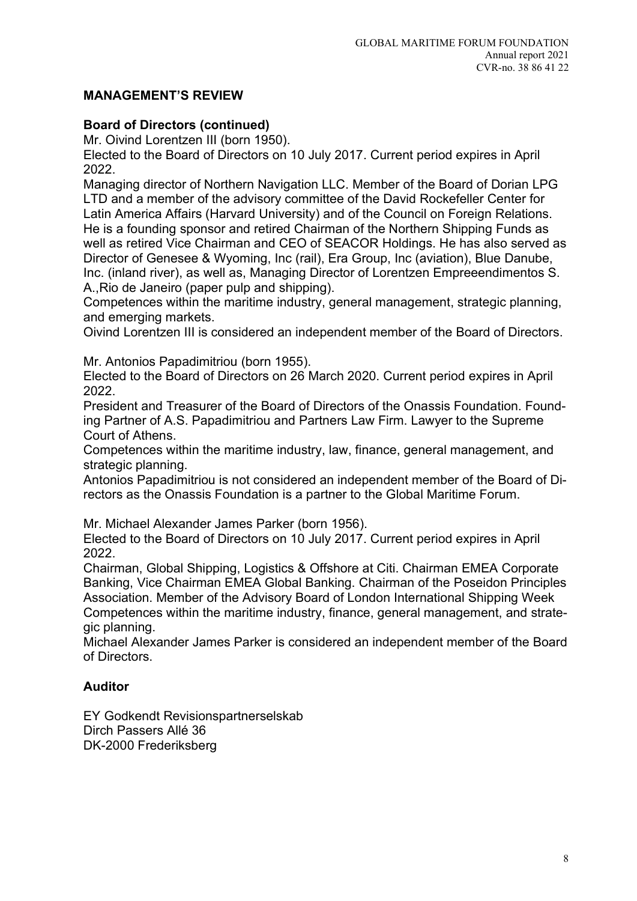## Board of Directors (continued)

Mr. Oivind Lorentzen III (born 1950).

Elected to the Board of Directors on 10 July 2017. Current period expires in April 2022.

Managing director of Northern Navigation LLC. Member of the Board of Dorian LPG LTD and a member of the advisory committee of the David Rockefeller Center for Latin America Affairs (Harvard University) and of the Council on Foreign Relations. He is a founding sponsor and retired Chairman of the Northern Shipping Funds as well as retired Vice Chairman and CEO of SEACOR Holdings. He has also served as Director of Genesee & Wyoming, Inc (rail), Era Group, Inc (aviation), Blue Danube, Inc. (inland river), as well as, Managing Director of Lorentzen Empreeendimentos S. A.,Rio de Janeiro (paper pulp and shipping).

Competences within the maritime industry, general management, strategic planning, and emerging markets.

Oivind Lorentzen III is considered an independent member of the Board of Directors.

Mr. Antonios Papadimitriou (born 1955).

Elected to the Board of Directors on 26 March 2020. Current period expires in April 2022.

President and Treasurer of the Board of Directors of the Onassis Foundation. Founding Partner of A.S. Papadimitriou and Partners Law Firm. Lawyer to the Supreme Court of Athens.

Competences within the maritime industry, law, finance, general management, and strategic planning.

Antonios Papadimitriou is not considered an independent member of the Board of Directors as the Onassis Foundation is a partner to the Global Maritime Forum.

Mr. Michael Alexander James Parker (born 1956).

Elected to the Board of Directors on 10 July 2017. Current period expires in April 2022.

Chairman, Global Shipping, Logistics & Offshore at Citi. Chairman EMEA Corporate Banking, Vice Chairman EMEA Global Banking. Chairman of the Poseidon Principles Association. Member of the Advisory Board of London International Shipping Week Competences within the maritime industry, finance, general management, and strategic planning.

Michael Alexander James Parker is considered an independent member of the Board of Directors.

## Auditor

EY Godkendt Revisionspartnerselskab Dirch Passers Allé 36 DK-2000 Frederiksberg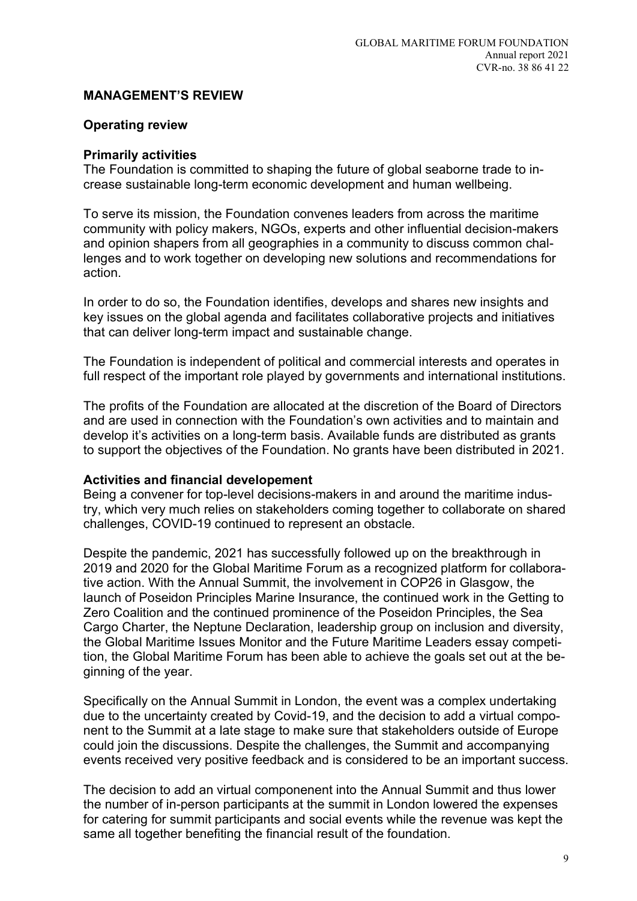## Operating review

### Primarily activities

The Foundation is committed to shaping the future of global seaborne trade to increase sustainable long-term economic development and human wellbeing.

To serve its mission, the Foundation convenes leaders from across the maritime community with policy makers, NGOs, experts and other influential decision-makers and opinion shapers from all geographies in a community to discuss common challenges and to work together on developing new solutions and recommendations for action.

In order to do so, the Foundation identifies, develops and shares new insights and key issues on the global agenda and facilitates collaborative projects and initiatives that can deliver long-term impact and sustainable change.

The Foundation is independent of political and commercial interests and operates in full respect of the important role played by governments and international institutions.

The profits of the Foundation are allocated at the discretion of the Board of Directors and are used in connection with the Foundation's own activities and to maintain and develop it's activities on a long-term basis. Available funds are distributed as grants to support the objectives of the Foundation. No grants have been distributed in 2021.

#### Activities and financial developement

Being a convener for top-level decisions-makers in and around the maritime industry, which very much relies on stakeholders coming together to collaborate on shared challenges, COVID-19 continued to represent an obstacle.

Despite the pandemic, 2021 has successfully followed up on the breakthrough in 2019 and 2020 for the Global Maritime Forum as a recognized platform for collaborative action. With the Annual Summit, the involvement in COP26 in Glasgow, the launch of Poseidon Principles Marine Insurance, the continued work in the Getting to Zero Coalition and the continued prominence of the Poseidon Principles, the Sea Cargo Charter, the Neptune Declaration, leadership group on inclusion and diversity, the Global Maritime Issues Monitor and the Future Maritime Leaders essay competition, the Global Maritime Forum has been able to achieve the goals set out at the beginning of the year.

Specifically on the Annual Summit in London, the event was a complex undertaking due to the uncertainty created by Covid-19, and the decision to add a virtual component to the Summit at a late stage to make sure that stakeholders outside of Europe could join the discussions. Despite the challenges, the Summit and accompanying events received very positive feedback and is considered to be an important success.

The decision to add an virtual componenent into the Annual Summit and thus lower the number of in-person participants at the summit in London lowered the expenses for catering for summit participants and social events while the revenue was kept the same all together benefiting the financial result of the foundation.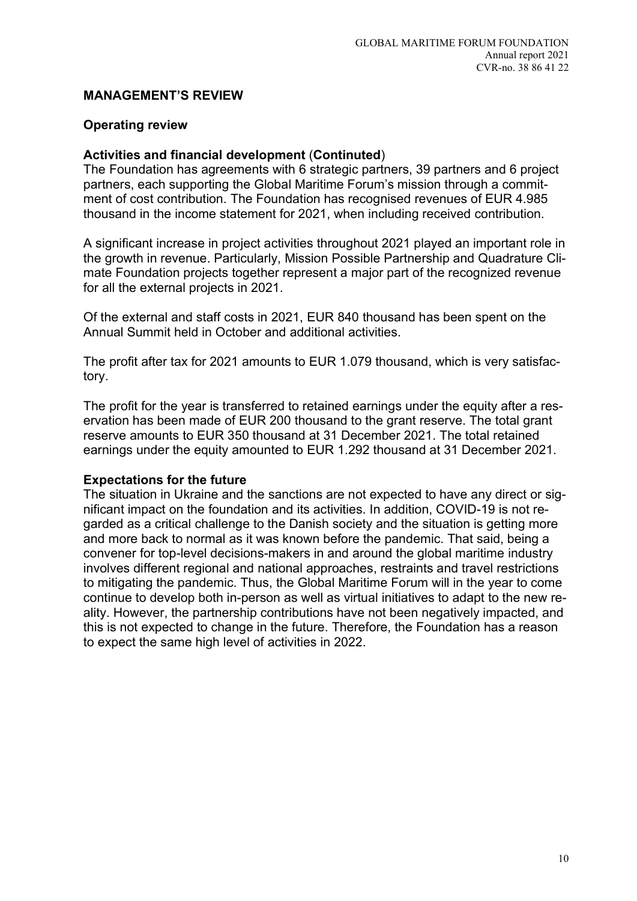## Operating review

## Activities and financial development (Continuted)

The Foundation has agreements with 6 strategic partners, 39 partners and 6 project partners, each supporting the Global Maritime Forum's mission through a commitment of cost contribution. The Foundation has recognised revenues of EUR 4.985 thousand in the income statement for 2021, when including received contribution.

A significant increase in project activities throughout 2021 played an important role in the growth in revenue. Particularly, Mission Possible Partnership and Quadrature Climate Foundation projects together represent a major part of the recognized revenue for all the external projects in 2021.

Of the external and staff costs in 2021, EUR 840 thousand has been spent on the Annual Summit held in October and additional activities.

The profit after tax for 2021 amounts to EUR 1.079 thousand, which is very satisfactory.

The profit for the year is transferred to retained earnings under the equity after a reservation has been made of EUR 200 thousand to the grant reserve. The total grant reserve amounts to EUR 350 thousand at 31 December 2021. The total retained earnings under the equity amounted to EUR 1.292 thousand at 31 December 2021.

## Expectations for the future

The situation in Ukraine and the sanctions are not expected to have any direct or significant impact on the foundation and its activities. In addition, COVID-19 is not regarded as a critical challenge to the Danish society and the situation is getting more and more back to normal as it was known before the pandemic. That said, being a convener for top-level decisions-makers in and around the global maritime industry involves different regional and national approaches, restraints and travel restrictions to mitigating the pandemic. Thus, the Global Maritime Forum will in the year to come continue to develop both in-person as well as virtual initiatives to adapt to the new reality. However, the partnership contributions have not been negatively impacted, and this is not expected to change in the future. Therefore, the Foundation has a reason to expect the same high level of activities in 2022.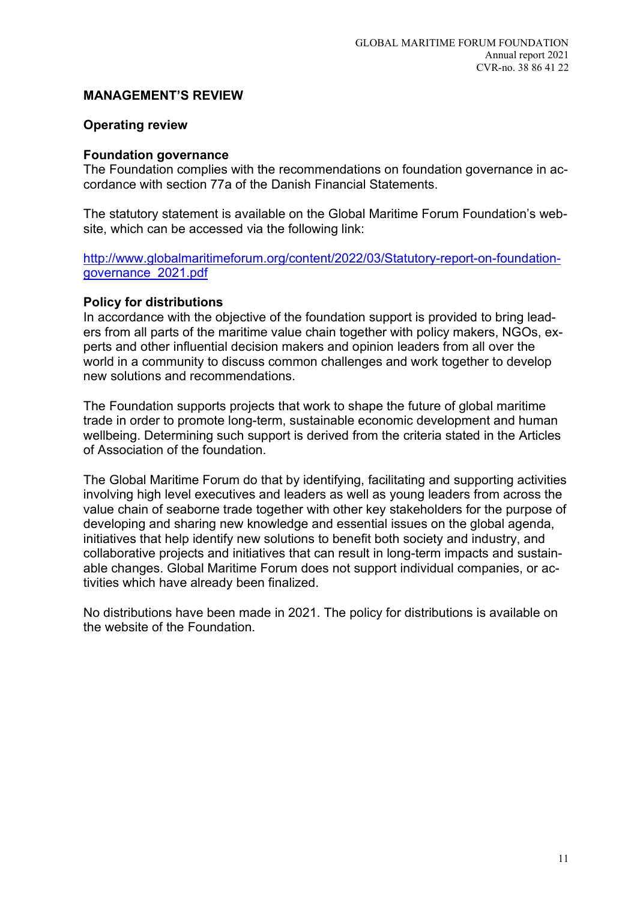## Operating review

### Foundation governance

The Foundation complies with the recommendations on foundation governance in accordance with section 77a of the Danish Financial Statements.

The statutory statement is available on the Global Maritime Forum Foundation's website, which can be accessed via the following link:

http://www.globalmaritimeforum.org/content/2022/03/Statutory-report-on-foundationgovernance\_2021.pdf

### Policy for distributions

In accordance with the objective of the foundation support is provided to bring leaders from all parts of the maritime value chain together with policy makers, NGOs, experts and other influential decision makers and opinion leaders from all over the world in a community to discuss common challenges and work together to develop new solutions and recommendations.

The Foundation supports projects that work to shape the future of global maritime trade in order to promote long-term, sustainable economic development and human wellbeing. Determining such support is derived from the criteria stated in the Articles of Association of the foundation.

The Global Maritime Forum do that by identifying, facilitating and supporting activities involving high level executives and leaders as well as young leaders from across the value chain of seaborne trade together with other key stakeholders for the purpose of developing and sharing new knowledge and essential issues on the global agenda, initiatives that help identify new solutions to benefit both society and industry, and collaborative projects and initiatives that can result in long-term impacts and sustainable changes. Global Maritime Forum does not support individual companies, or activities which have already been finalized.

No distributions have been made in 2021. The policy for distributions is available on the website of the Foundation.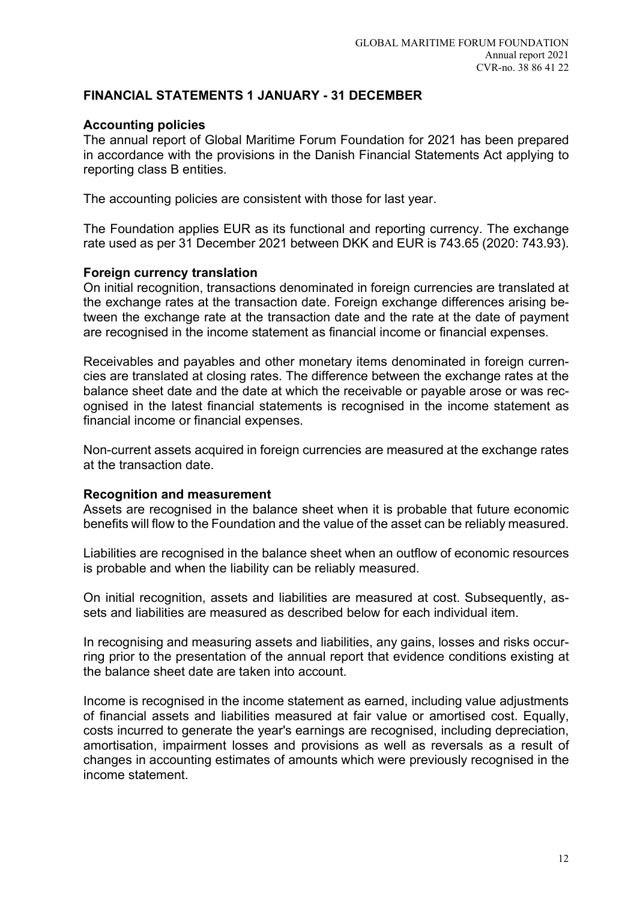## Accounting policies

The annual report of Global Maritime Forum Foundation for 2021 has been prepared in accordance with the provisions in the Danish Financial Statements Act applying to reporting class B entities.

The accounting policies are consistent with those for last year.

The Foundation applies EUR as its functional and reporting currency. The exchange rate used as per 31 December 2021 between DKK and EUR is 743.65 (2020: 743.93).

### Foreign currency translation

On initial recognition, transactions denominated in foreign currencies are translated at the exchange rates at the transaction date. Foreign exchange differences arising between the exchange rate at the transaction date and the rate at the date of payment are recognised in the income statement as financial income or financial expenses.

Receivables and payables and other monetary items denominated in foreign currencies are translated at closing rates. The difference between the exchange rates at the balance sheet date and the date at which the receivable or payable arose or was recognised in the latest financial statements is recognised in the income statement as financial income or financial expenses.

Non-current assets acquired in foreign currencies are measured at the exchange rates at the transaction date.

#### Recognition and measurement

Assets are recognised in the balance sheet when it is probable that future economic benefits will flow to the Foundation and the value of the asset can be reliably measured.

Liabilities are recognised in the balance sheet when an outflow of economic resources is probable and when the liability can be reliably measured.

On initial recognition, assets and liabilities are measured at cost. Subsequently, assets and liabilities are measured as described below for each individual item.

In recognising and measuring assets and liabilities, any gains, losses and risks occurring prior to the presentation of the annual report that evidence conditions existing at the balance sheet date are taken into account.

Income is recognised in the income statement as earned, including value adjustments of financial assets and liabilities measured at fair value or amortised cost. Equally, costs incurred to generate the year's earnings are recognised, including depreciation, amortisation, impairment losses and provisions as well as reversals as a result of changes in accounting estimates of amounts which were previously recognised in the income statement.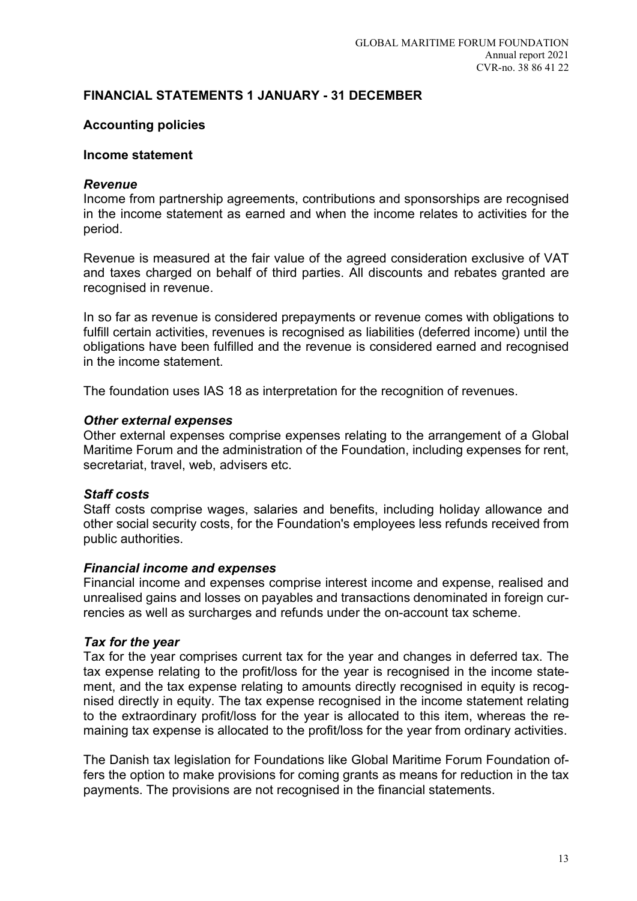### Accounting policies

#### Income statement

#### **Revenue**

Income from partnership agreements, contributions and sponsorships are recognised in the income statement as earned and when the income relates to activities for the period.

Revenue is measured at the fair value of the agreed consideration exclusive of VAT and taxes charged on behalf of third parties. All discounts and rebates granted are recognised in revenue.

In so far as revenue is considered prepayments or revenue comes with obligations to fulfill certain activities, revenues is recognised as liabilities (deferred income) until the obligations have been fulfilled and the revenue is considered earned and recognised in the income statement.

The foundation uses IAS 18 as interpretation for the recognition of revenues.

#### Other external expenses

Other external expenses comprise expenses relating to the arrangement of a Global Maritime Forum and the administration of the Foundation, including expenses for rent, secretariat, travel, web, advisers etc.

#### Staff costs

Staff costs comprise wages, salaries and benefits, including holiday allowance and other social security costs, for the Foundation's employees less refunds received from public authorities.

#### Financial income and expenses

Financial income and expenses comprise interest income and expense, realised and unrealised gains and losses on payables and transactions denominated in foreign currencies as well as surcharges and refunds under the on-account tax scheme.

#### Tax for the year

Tax for the year comprises current tax for the year and changes in deferred tax. The tax expense relating to the profit/loss for the year is recognised in the income statement, and the tax expense relating to amounts directly recognised in equity is recognised directly in equity. The tax expense recognised in the income statement relating to the extraordinary profit/loss for the year is allocated to this item, whereas the remaining tax expense is allocated to the profit/loss for the year from ordinary activities.

The Danish tax legislation for Foundations like Global Maritime Forum Foundation offers the option to make provisions for coming grants as means for reduction in the tax payments. The provisions are not recognised in the financial statements.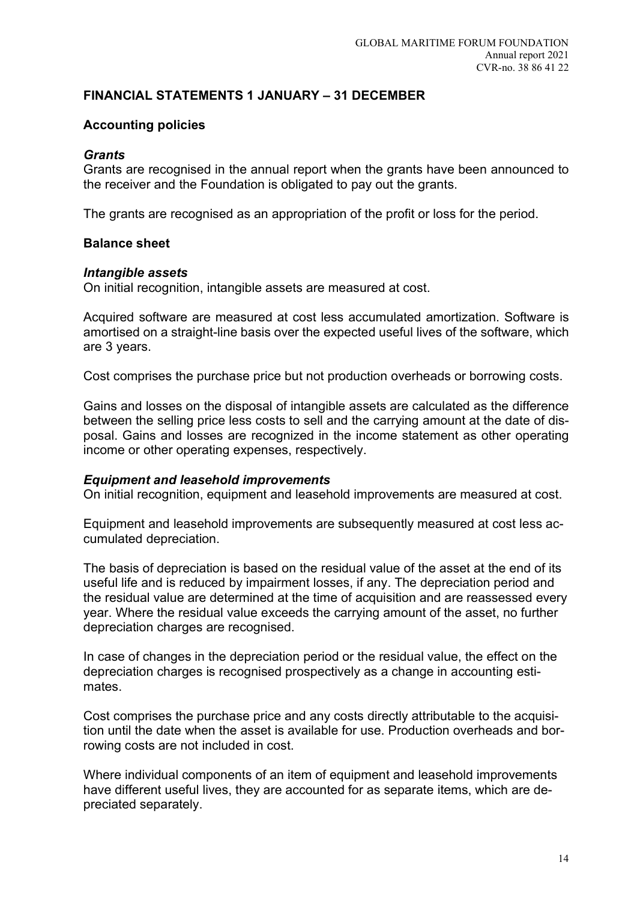## Accounting policies

### **Grants**

Grants are recognised in the annual report when the grants have been announced to the receiver and the Foundation is obligated to pay out the grants.

The grants are recognised as an appropriation of the profit or loss for the period.

### Balance sheet

### Intangible assets

On initial recognition, intangible assets are measured at cost.

Acquired software are measured at cost less accumulated amortization. Software is amortised on a straight-line basis over the expected useful lives of the software, which are 3 years.

Cost comprises the purchase price but not production overheads or borrowing costs.

Gains and losses on the disposal of intangible assets are calculated as the difference between the selling price less costs to sell and the carrying amount at the date of disposal. Gains and losses are recognized in the income statement as other operating income or other operating expenses, respectively.

#### Equipment and leasehold improvements

On initial recognition, equipment and leasehold improvements are measured at cost.

Equipment and leasehold improvements are subsequently measured at cost less accumulated depreciation.

The basis of depreciation is based on the residual value of the asset at the end of its useful life and is reduced by impairment losses, if any. The depreciation period and the residual value are determined at the time of acquisition and are reassessed every year. Where the residual value exceeds the carrying amount of the asset, no further depreciation charges are recognised.

In case of changes in the depreciation period or the residual value, the effect on the depreciation charges is recognised prospectively as a change in accounting estimates.

Cost comprises the purchase price and any costs directly attributable to the acquisition until the date when the asset is available for use. Production overheads and borrowing costs are not included in cost.

Where individual components of an item of equipment and leasehold improvements have different useful lives, they are accounted for as separate items, which are depreciated separately.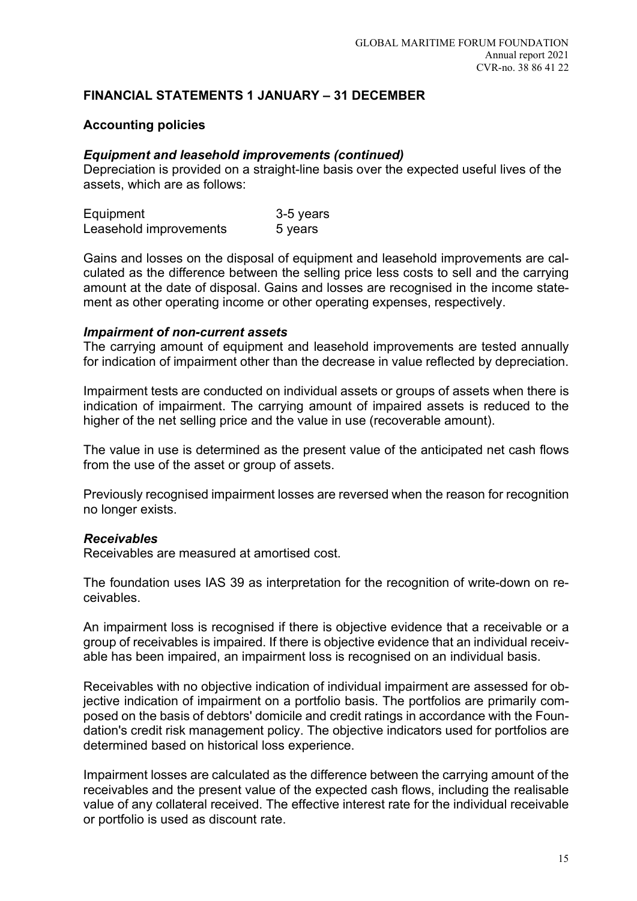## Accounting policies

## Equipment and leasehold improvements (continued)

Depreciation is provided on a straight-line basis over the expected useful lives of the assets, which are as follows:

| Equipment              | 3-5 years |
|------------------------|-----------|
| Leasehold improvements | 5 years   |

Gains and losses on the disposal of equipment and leasehold improvements are calculated as the difference between the selling price less costs to sell and the carrying amount at the date of disposal. Gains and losses are recognised in the income statement as other operating income or other operating expenses, respectively.

## Impairment of non-current assets

The carrying amount of equipment and leasehold improvements are tested annually for indication of impairment other than the decrease in value reflected by depreciation.

Impairment tests are conducted on individual assets or groups of assets when there is indication of impairment. The carrying amount of impaired assets is reduced to the higher of the net selling price and the value in use (recoverable amount).

The value in use is determined as the present value of the anticipated net cash flows from the use of the asset or group of assets.

Previously recognised impairment losses are reversed when the reason for recognition no longer exists.

## Receivables

Receivables are measured at amortised cost.

The foundation uses IAS 39 as interpretation for the recognition of write-down on receivables.

An impairment loss is recognised if there is objective evidence that a receivable or a group of receivables is impaired. If there is objective evidence that an individual receivable has been impaired, an impairment loss is recognised on an individual basis.

Receivables with no objective indication of individual impairment are assessed for objective indication of impairment on a portfolio basis. The portfolios are primarily composed on the basis of debtors' domicile and credit ratings in accordance with the Foundation's credit risk management policy. The objective indicators used for portfolios are determined based on historical loss experience.

Impairment losses are calculated as the difference between the carrying amount of the receivables and the present value of the expected cash flows, including the realisable value of any collateral received. The effective interest rate for the individual receivable or portfolio is used as discount rate.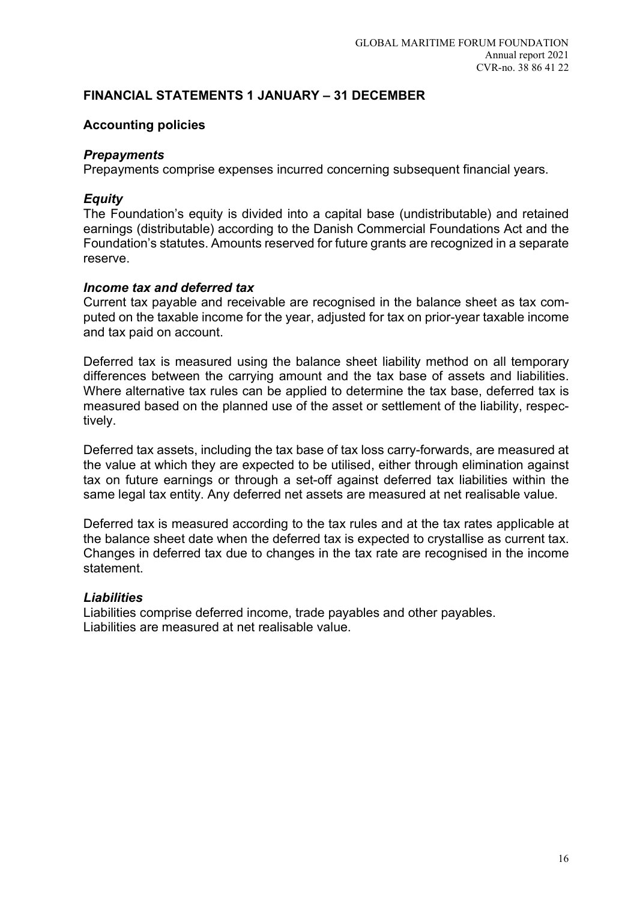## Accounting policies

## **Prepayments**

Prepayments comprise expenses incurred concerning subsequent financial years.

## **Equity**

The Foundation's equity is divided into a capital base (undistributable) and retained earnings (distributable) according to the Danish Commercial Foundations Act and the Foundation's statutes. Amounts reserved for future grants are recognized in a separate reserve.

## Income tax and deferred tax

Current tax payable and receivable are recognised in the balance sheet as tax computed on the taxable income for the year, adjusted for tax on prior-year taxable income and tax paid on account.

Deferred tax is measured using the balance sheet liability method on all temporary differences between the carrying amount and the tax base of assets and liabilities. Where alternative tax rules can be applied to determine the tax base, deferred tax is measured based on the planned use of the asset or settlement of the liability, respectively.

Deferred tax assets, including the tax base of tax loss carry-forwards, are measured at the value at which they are expected to be utilised, either through elimination against tax on future earnings or through a set-off against deferred tax liabilities within the same legal tax entity. Any deferred net assets are measured at net realisable value.

Deferred tax is measured according to the tax rules and at the tax rates applicable at the balance sheet date when the deferred tax is expected to crystallise as current tax. Changes in deferred tax due to changes in the tax rate are recognised in the income statement.

## **Liabilities**

Liabilities comprise deferred income, trade payables and other payables. Liabilities are measured at net realisable value.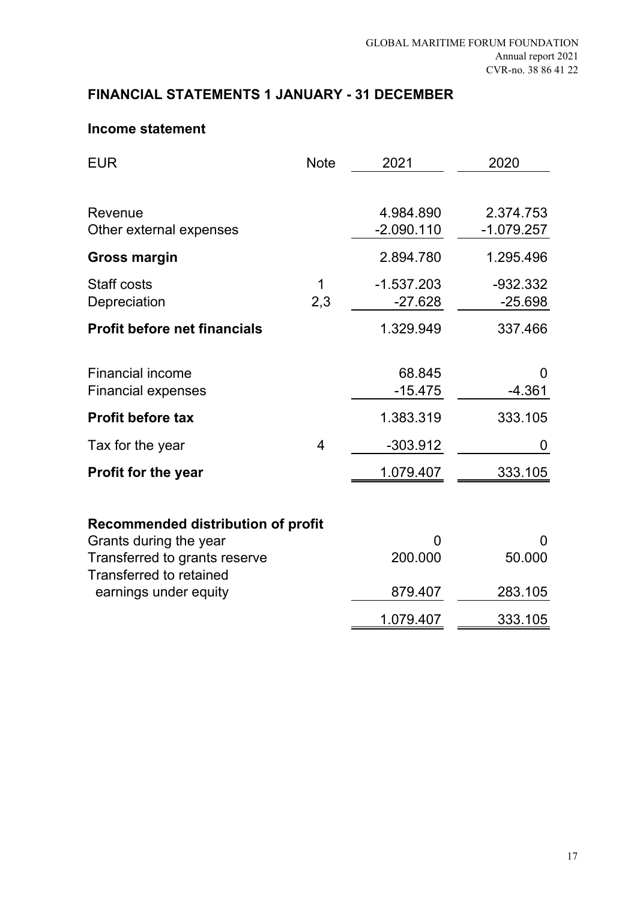## **Income statement**

| <b>EUR</b>                                                      | <b>Note</b>    | 2021         | 2020         |
|-----------------------------------------------------------------|----------------|--------------|--------------|
|                                                                 |                |              |              |
| Revenue                                                         |                | 4.984.890    | 2.374.753    |
| Other external expenses                                         |                | $-2.090.110$ | $-1.079.257$ |
| <b>Gross margin</b>                                             |                | 2.894.780    | 1.295.496    |
| <b>Staff costs</b>                                              | 1              | $-1.537.203$ | -932.332     |
| Depreciation                                                    | 2,3            | $-27.628$    | $-25.698$    |
| <b>Profit before net financials</b>                             |                | 1.329.949    | 337.466      |
|                                                                 |                |              |              |
| <b>Financial income</b>                                         |                | 68.845       | 0            |
| <b>Financial expenses</b>                                       |                | $-15.475$    | $-4.361$     |
| <b>Profit before tax</b>                                        |                | 1.383.319    | 333.105      |
| Tax for the year                                                | $\overline{4}$ | $-303.912$   | 0            |
| <b>Profit for the year</b>                                      |                | 1.079.407    | 333.105      |
|                                                                 |                |              |              |
| <b>Recommended distribution of profit</b>                       |                |              |              |
| Grants during the year                                          |                | 0            | $\Omega$     |
| Transferred to grants reserve<br><b>Transferred to retained</b> |                | 200.000      | 50.000       |
| earnings under equity                                           |                | 879.407      | 283.105      |
|                                                                 |                | 1.079.407    | 333.105      |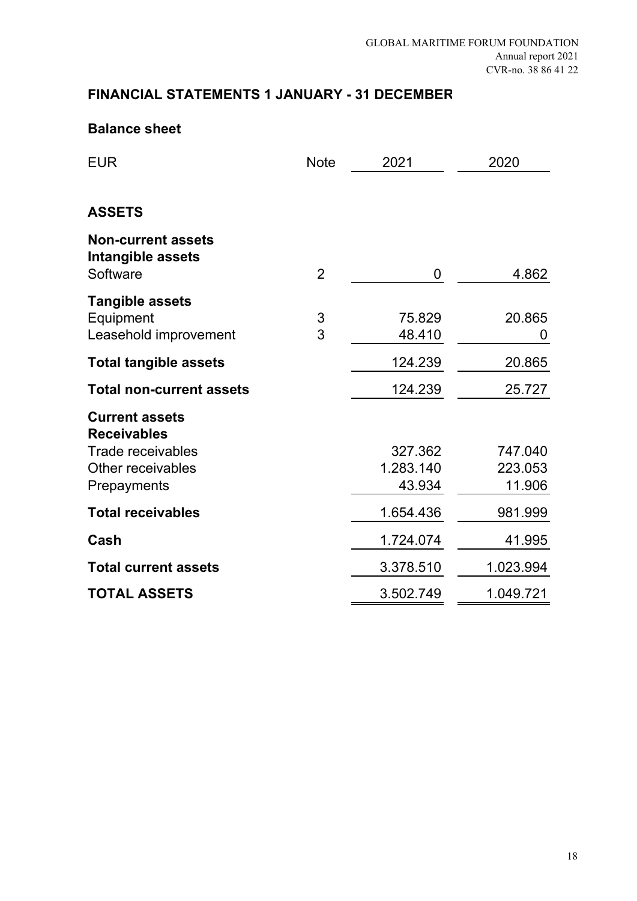## **Balance sheet**

| <b>EUR</b>                                                 | <b>Note</b>    | 2021             | 2020        |
|------------------------------------------------------------|----------------|------------------|-------------|
|                                                            |                |                  |             |
| <b>ASSETS</b>                                              |                |                  |             |
| <b>Non-current assets</b><br>Intangible assets<br>Software | $\overline{2}$ | 0                | 4.862       |
| <b>Tangible assets</b>                                     |                |                  |             |
| Equipment<br>Leasehold improvement                         | 3<br>3         | 75.829<br>48.410 | 20.865<br>0 |
| <b>Total tangible assets</b>                               |                | 124.239          | 20.865      |
| <b>Total non-current assets</b>                            |                | 124.239          | 25.727      |
| <b>Current assets</b><br><b>Receivables</b>                |                |                  |             |
| Trade receivables                                          |                | 327.362          | 747.040     |
| Other receivables                                          |                | 1.283.140        | 223.053     |
| Prepayments                                                |                | 43.934           | 11.906      |
| <b>Total receivables</b>                                   |                | 1.654.436        | 981.999     |
| Cash                                                       |                | 1.724.074        | 41.995      |
| <b>Total current assets</b>                                |                | 3.378.510        | 1.023.994   |
| <b>TOTAL ASSETS</b>                                        |                | 3.502.749        | 1.049.721   |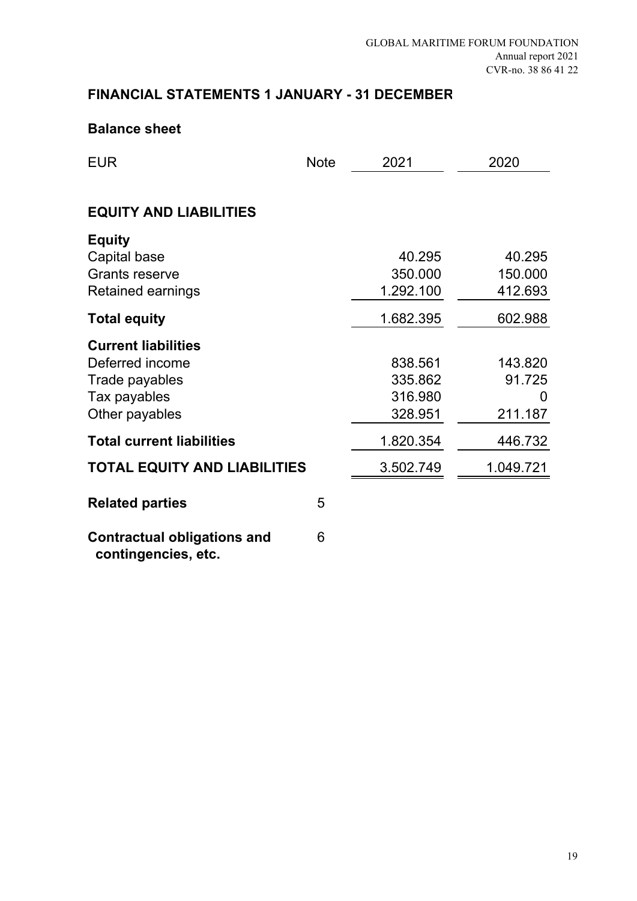## **Balance sheet**

| <b>EUR</b>                                                                                        | <b>Note</b> | 2021                                     | 2020                              |
|---------------------------------------------------------------------------------------------------|-------------|------------------------------------------|-----------------------------------|
|                                                                                                   |             |                                          |                                   |
| <b>EQUITY AND LIABILITIES</b>                                                                     |             |                                          |                                   |
| <b>Equity</b><br>Capital base<br><b>Grants reserve</b><br><b>Retained earnings</b>                |             | 40.295<br>350.000<br>1.292.100           | 40.295<br>150.000<br>412.693      |
| <b>Total equity</b>                                                                               |             | 1.682.395                                | 602.988                           |
| <b>Current liabilities</b><br>Deferred income<br>Trade payables<br>Tax payables<br>Other payables |             | 838.561<br>335.862<br>316.980<br>328.951 | 143.820<br>91.725<br>0<br>211.187 |
| <b>Total current liabilities</b>                                                                  |             | 1.820.354                                | 446.732                           |
| <b>TOTAL EQUITY AND LIABILITIES</b>                                                               |             | 3.502.749                                | 1.049.721                         |
| <b>Related parties</b>                                                                            | 5           |                                          |                                   |
| <b>Contractual obligations and</b><br>contingencies, etc.                                         | 6           |                                          |                                   |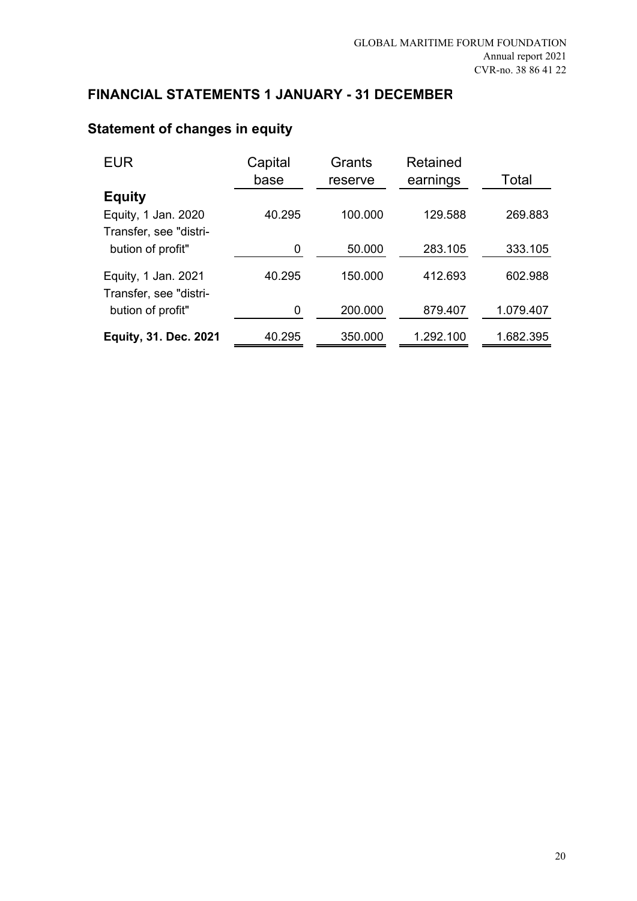| EUR                                           | Capital<br>base | Grants<br>reserve | Retained<br>earnings | Total     |
|-----------------------------------------------|-----------------|-------------------|----------------------|-----------|
| <b>Equity</b>                                 |                 |                   |                      |           |
| Equity, 1 Jan. 2020                           | 40.295          | 100.000           | 129.588              | 269.883   |
| Transfer, see "distri-                        |                 |                   |                      |           |
| bution of profit"                             | 0               | 50.000            | 283.105              | 333.105   |
| Equity, 1 Jan. 2021<br>Transfer, see "distri- | 40.295          | 150.000           | 412.693              | 602.988   |
| bution of profit"                             | 0               | 200.000           | 879.407              | 1.079.407 |
| <b>Equity, 31. Dec. 2021</b>                  | 40.295          | 350.000           | 1.292.100            | 1.682.395 |

# **Statement of changes in equity**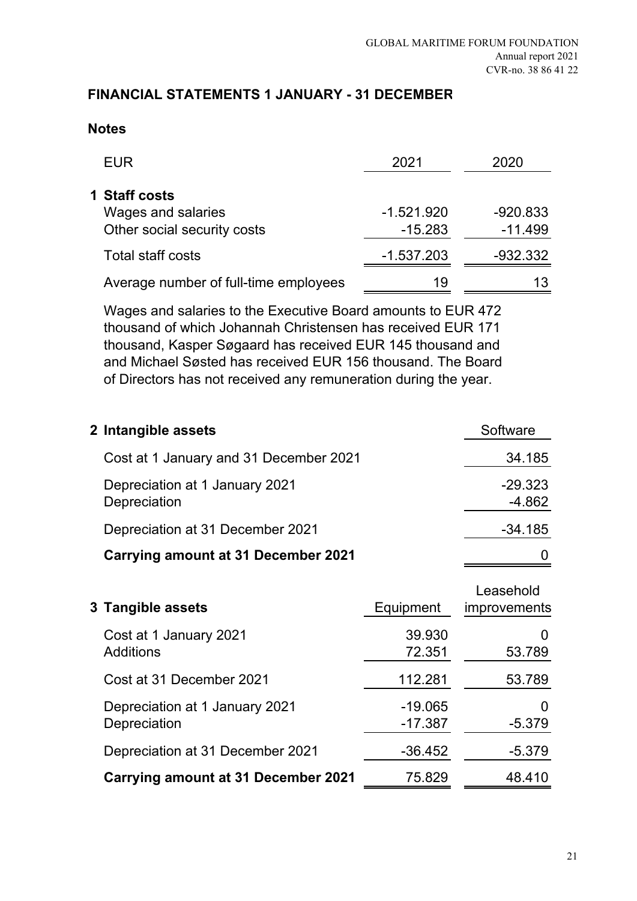## **Notes**

| <b>EUR</b>                                                         | 2021                      | 2020                    |
|--------------------------------------------------------------------|---------------------------|-------------------------|
| 1 Staff costs<br>Wages and salaries<br>Other social security costs | $-1.521.920$<br>$-15.283$ | $-920.833$<br>$-11.499$ |
| <b>Total staff costs</b>                                           | $-1.537.203$              | $-932.332$              |
| Average number of full-time employees                              | 19                        |                         |

Wages and salaries to the Executive Board amounts to EUR 472 thousand of which Johannah Christensen has received EUR 171 thousand, Kasper Søgaard has received EUR 145 thousand and and Michael Søsted has received EUR 156 thousand. The Board of Directors has not received any remuneration during the year.

| 2 Intangible assets                            | Software              |
|------------------------------------------------|-----------------------|
| Cost at 1 January and 31 December 2021         | 34.185                |
| Depreciation at 1 January 2021<br>Depreciation | $-29.323$<br>$-4.862$ |
| Depreciation at 31 December 2021               | -34.185               |
| <b>Carrying amount at 31 December 2021</b>     |                       |

| 3 Tangible assets                              | Equipment              | Leasehold<br><i>improvements</i> |
|------------------------------------------------|------------------------|----------------------------------|
| Cost at 1 January 2021<br><b>Additions</b>     | 39.930<br>72.351       | 53.789                           |
| Cost at 31 December 2021                       | 112.281                | 53.789                           |
| Depreciation at 1 January 2021<br>Depreciation | $-19.065$<br>$-17.387$ | $-5.379$                         |
| Depreciation at 31 December 2021               | $-36.452$              | $-5.379$                         |
| <b>Carrying amount at 31 December 2021</b>     | 75.829                 | 48.410                           |